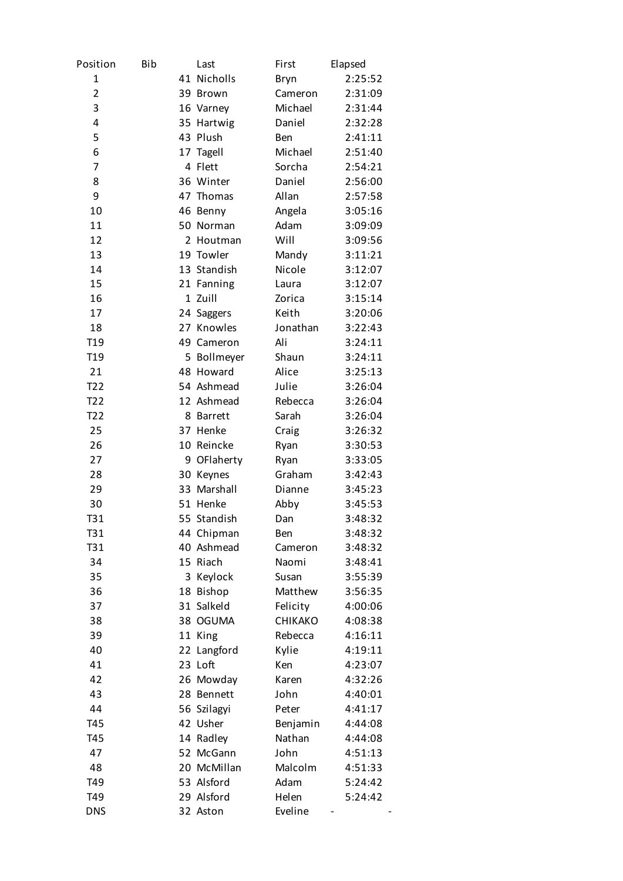| Position         | Bib |                | Last           | First      | Elapsed |
|------------------|-----|----------------|----------------|------------|---------|
| $\mathbf{1}$     |     |                | 41 Nicholls    | Bryn       | 2:25:52 |
| 2                |     |                | 39 Brown       | Cameron    | 2:31:09 |
| 3                |     |                | 16 Varney      | Michael    | 2:31:44 |
| 4                |     |                | 35 Hartwig     | Daniel     | 2:32:28 |
| 5                |     |                | 43 Plush       | <b>Ben</b> | 2:41:11 |
| 6                |     | 17             | Tagell         | Michael    | 2:51:40 |
| 7                |     |                | 4 Flett        | Sorcha     | 2:54:21 |
| 8                |     |                | 36 Winter      | Daniel     | 2:56:00 |
| 9                |     | 47             | Thomas         | Allan      | 2:57:58 |
| 10               |     |                | 46 Benny       | Angela     | 3:05:16 |
| 11               |     |                | 50 Norman      | Adam       | 3:09:09 |
| 12               |     | $\overline{2}$ | Houtman        | Will       | 3:09:56 |
| 13               |     |                | 19 Towler      | Mandy      | 3:11:21 |
| 14               |     |                | 13 Standish    | Nicole     | 3:12:07 |
| 15               |     |                | 21 Fanning     | Laura      | 3:12:07 |
| 16               |     |                | 1 Zuill        | Zorica     | 3:15:14 |
| 17               |     |                | 24 Saggers     | Keith      | 3:20:06 |
| 18               |     |                | 27 Knowles     | Jonathan   | 3:22:43 |
| T <sub>19</sub>  |     |                | 49 Cameron     | Ali        | 3:24:11 |
| T <sub>19</sub>  |     |                | 5 Bollmeyer    | Shaun      | 3:24:11 |
| 21               |     |                | 48 Howard      | Alice      | 3:25:13 |
| T <sub>2</sub> 2 |     |                | 54 Ashmead     | Julie      | 3:26:04 |
| T <sub>2</sub> 2 |     |                | 12 Ashmead     | Rebecca    | 3:26:04 |
| T <sub>2</sub> 2 |     | 8              | <b>Barrett</b> | Sarah      | 3:26:04 |
| 25               |     |                | 37 Henke       | Craig      | 3:26:32 |
| 26               |     |                | 10 Reincke     | Ryan       | 3:30:53 |
| 27               |     | 9              | OFlaherty      | Ryan       | 3:33:05 |
| 28               |     |                | 30 Keynes      | Graham     | 3:42:43 |
| 29               |     |                | 33 Marshall    | Dianne     | 3:45:23 |
| 30               |     |                | 51 Henke       | Abby       | 3:45:53 |
| T31              |     |                | 55 Standish    | Dan        | 3:48:32 |
| T31              |     |                | 44 Chipman     | Ben        | 3:48:32 |
| T31              |     |                | 40 Ashmead     | Cameron    | 3:48:32 |
| 34               |     |                | 15 Riach       | Naomi      | 3:48:41 |
| 35               |     | 3              | Keylock        | Susan      | 3:55:39 |
| 36               |     |                | 18 Bishop      | Matthew    | 3:56:35 |
| 37               |     |                | 31 Salkeld     | Felicity   | 4:00:06 |
| 38               |     |                | 38 OGUMA       | CHIKAKO    | 4:08:38 |
| 39               |     |                | 11 King        | Rebecca    | 4:16:11 |
| 40               |     |                | 22 Langford    | Kylie      | 4:19:11 |
| 41               |     |                | 23 Loft        | Ken        | 4:23:07 |
| 42               |     |                | 26 Mowday      | Karen      | 4:32:26 |
| 43               |     |                | 28 Bennett     | John       | 4:40:01 |
| 44               |     |                | 56 Szilagyi    | Peter      | 4:41:17 |
| T45              |     |                | 42 Usher       | Benjamin   | 4:44:08 |
| T45              |     |                | 14 Radley      | Nathan     | 4:44:08 |
| 47               |     |                | 52 McGann      | John       | 4:51:13 |
| 48               |     |                | 20 McMillan    | Malcolm    | 4:51:33 |
| T49              |     |                | 53 Alsford     | Adam       | 5:24:42 |
| T49              |     |                | 29 Alsford     | Helen      | 5:24:42 |
| <b>DNS</b>       |     |                | 32 Aston       | Eveline    |         |
|                  |     |                |                |            |         |